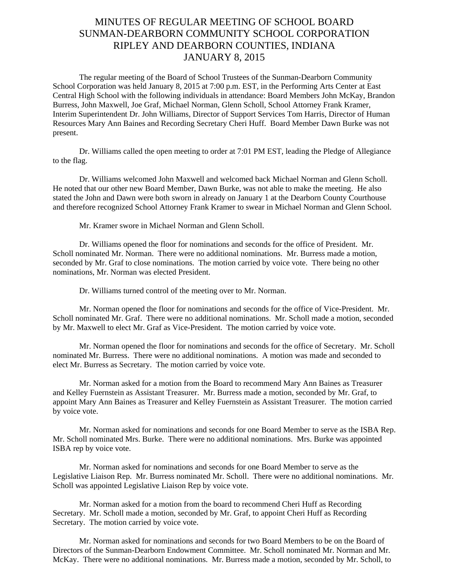## MINUTES OF REGULAR MEETING OF SCHOOL BOARD SUNMAN-DEARBORN COMMUNITY SCHOOL CORPORATION RIPLEY AND DEARBORN COUNTIES, INDIANA JANUARY 8, 2015

The regular meeting of the Board of School Trustees of the Sunman-Dearborn Community School Corporation was held January 8, 2015 at 7:00 p.m. EST, in the Performing Arts Center at East Central High School with the following individuals in attendance: Board Members John McKay, Brandon Burress, John Maxwell, Joe Graf, Michael Norman, Glenn Scholl, School Attorney Frank Kramer, Interim Superintendent Dr. John Williams, Director of Support Services Tom Harris, Director of Human Resources Mary Ann Baines and Recording Secretary Cheri Huff. Board Member Dawn Burke was not present.

Dr. Williams called the open meeting to order at 7:01 PM EST, leading the Pledge of Allegiance to the flag.

 Dr. Williams welcomed John Maxwell and welcomed back Michael Norman and Glenn Scholl. He noted that our other new Board Member, Dawn Burke, was not able to make the meeting. He also stated the John and Dawn were both sworn in already on January 1 at the Dearborn County Courthouse and therefore recognized School Attorney Frank Kramer to swear in Michael Norman and Glenn School.

Mr. Kramer swore in Michael Norman and Glenn Scholl.

 Dr. Williams opened the floor for nominations and seconds for the office of President. Mr. Scholl nominated Mr. Norman. There were no additional nominations. Mr. Burress made a motion, seconded by Mr. Graf to close nominations. The motion carried by voice vote. There being no other nominations, Mr. Norman was elected President.

Dr. Williams turned control of the meeting over to Mr. Norman.

 Mr. Norman opened the floor for nominations and seconds for the office of Vice-President. Mr. Scholl nominated Mr. Graf. There were no additional nominations. Mr. Scholl made a motion, seconded by Mr. Maxwell to elect Mr. Graf as Vice-President. The motion carried by voice vote.

 Mr. Norman opened the floor for nominations and seconds for the office of Secretary. Mr. Scholl nominated Mr. Burress. There were no additional nominations. A motion was made and seconded to elect Mr. Burress as Secretary. The motion carried by voice vote.

 Mr. Norman asked for a motion from the Board to recommend Mary Ann Baines as Treasurer and Kelley Fuernstein as Assistant Treasurer. Mr. Burress made a motion, seconded by Mr. Graf, to appoint Mary Ann Baines as Treasurer and Kelley Fuernstein as Assistant Treasurer. The motion carried by voice vote.

 Mr. Norman asked for nominations and seconds for one Board Member to serve as the ISBA Rep. Mr. Scholl nominated Mrs. Burke. There were no additional nominations. Mrs. Burke was appointed ISBA rep by voice vote.

 Mr. Norman asked for nominations and seconds for one Board Member to serve as the Legislative Liaison Rep. Mr. Burress nominated Mr. Scholl. There were no additional nominations. Mr. Scholl was appointed Legislative Liaison Rep by voice vote.

 Mr. Norman asked for a motion from the board to recommend Cheri Huff as Recording Secretary. Mr. Scholl made a motion, seconded by Mr. Graf, to appoint Cheri Huff as Recording Secretary. The motion carried by voice vote.

 Mr. Norman asked for nominations and seconds for two Board Members to be on the Board of Directors of the Sunman-Dearborn Endowment Committee. Mr. Scholl nominated Mr. Norman and Mr. McKay. There were no additional nominations. Mr. Burress made a motion, seconded by Mr. Scholl, to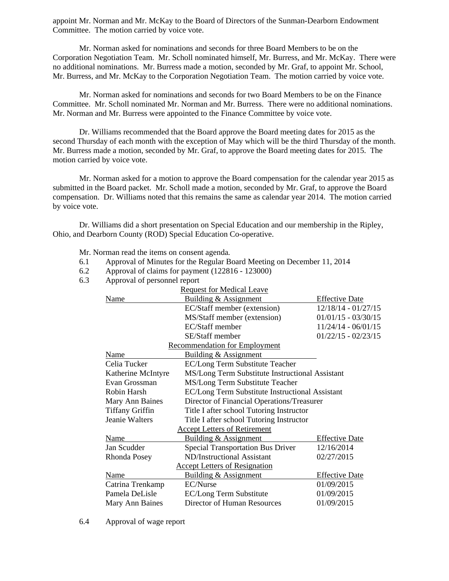appoint Mr. Norman and Mr. McKay to the Board of Directors of the Sunman-Dearborn Endowment Committee. The motion carried by voice vote.

 Mr. Norman asked for nominations and seconds for three Board Members to be on the Corporation Negotiation Team. Mr. Scholl nominated himself, Mr. Burress, and Mr. McKay. There were no additional nominations. Mr. Burress made a motion, seconded by Mr. Graf, to appoint Mr. School, Mr. Burress, and Mr. McKay to the Corporation Negotiation Team. The motion carried by voice vote.

 Mr. Norman asked for nominations and seconds for two Board Members to be on the Finance Committee. Mr. Scholl nominated Mr. Norman and Mr. Burress. There were no additional nominations. Mr. Norman and Mr. Burress were appointed to the Finance Committee by voice vote.

 Dr. Williams recommended that the Board approve the Board meeting dates for 2015 as the second Thursday of each month with the exception of May which will be the third Thursday of the month. Mr. Burress made a motion, seconded by Mr. Graf, to approve the Board meeting dates for 2015. The motion carried by voice vote.

 Mr. Norman asked for a motion to approve the Board compensation for the calendar year 2015 as submitted in the Board packet. Mr. Scholl made a motion, seconded by Mr. Graf, to approve the Board compensation. Dr. Williams noted that this remains the same as calendar year 2014. The motion carried by voice vote.

 Dr. Williams did a short presentation on Special Education and our membership in the Ripley, Ohio, and Dearborn County (ROD) Special Education Co-operative.

Mr. Norman read the items on consent agenda*.* 

- 6.1 Approval of Minutes for the Regular Board Meeting on December 11, 2014
- 6.2 Approval of claims for payment (122816 123000)
- 6.3 Approval of personnel report

| <b>Request for Medical Leave</b> |                                                 |                       |
|----------------------------------|-------------------------------------------------|-----------------------|
| Name                             | <b>Building &amp; Assignment</b>                | <b>Effective Date</b> |
|                                  | EC/Staff member (extension)                     | $12/18/14 - 01/27/15$ |
|                                  | MS/Staff member (extension)                     | $01/01/15 - 03/30/15$ |
|                                  | EC/Staff member                                 | $11/24/14 - 06/01/15$ |
|                                  | SE/Staff member                                 | $01/22/15 - 02/23/15$ |
|                                  | <b>Recommendation for Employment</b>            |                       |
| Name                             | Building & Assignment                           |                       |
| Celia Tucker                     | EC/Long Term Substitute Teacher                 |                       |
| Katherine McIntyre               | MS/Long Term Substitute Instructional Assistant |                       |
| Evan Grossman                    | MS/Long Term Substitute Teacher                 |                       |
| Robin Harsh                      | EC/Long Term Substitute Instructional Assistant |                       |
| Mary Ann Baines                  | Director of Financial Operations/Treasurer      |                       |
| <b>Tiffany Griffin</b>           | Title I after school Tutoring Instructor        |                       |
| Jeanie Walters                   | Title I after school Tutoring Instructor        |                       |
|                                  | <b>Accept Letters of Retirement</b>             |                       |
| Name                             | Building & Assignment                           | <b>Effective Date</b> |
| Jan Scudder                      | <b>Special Transportation Bus Driver</b>        | 12/16/2014            |
| Rhonda Posey                     | ND/Instructional Assistant                      | 02/27/2015            |
|                                  | <b>Accept Letters of Resignation</b>            |                       |
| Name                             | Building & Assignment                           | <b>Effective Date</b> |
| Catrina Trenkamp                 | EC/Nurse                                        | 01/09/2015            |
| Pamela DeLisle                   | <b>EC/Long Term Substitute</b>                  | 01/09/2015            |
| Mary Ann Baines                  | Director of Human Resources                     | 01/09/2015            |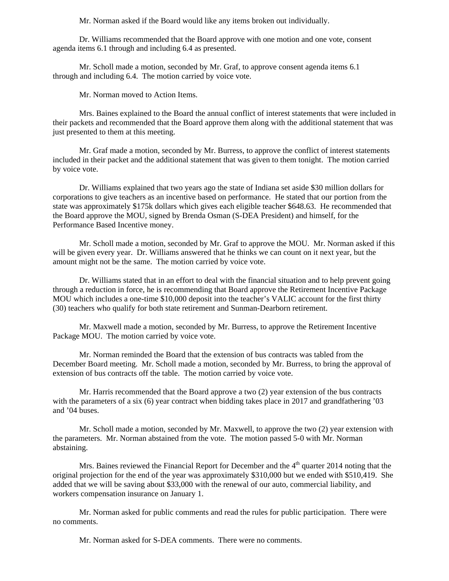Mr. Norman asked if the Board would like any items broken out individually.

Dr. Williams recommended that the Board approve with one motion and one vote, consent agenda items 6.1 through and including 6.4 as presented.

Mr. Scholl made a motion, seconded by Mr. Graf, to approve consent agenda items 6.1 through and including 6.4. The motion carried by voice vote.

Mr. Norman moved to Action Items.

Mrs. Baines explained to the Board the annual conflict of interest statements that were included in their packets and recommended that the Board approve them along with the additional statement that was just presented to them at this meeting.

 Mr. Graf made a motion, seconded by Mr. Burress, to approve the conflict of interest statements included in their packet and the additional statement that was given to them tonight. The motion carried by voice vote.

Dr. Williams explained that two years ago the state of Indiana set aside \$30 million dollars for corporations to give teachers as an incentive based on performance. He stated that our portion from the state was approximately \$175k dollars which gives each eligible teacher \$648.63. He recommended that the Board approve the MOU, signed by Brenda Osman (S-DEA President) and himself, for the Performance Based Incentive money.

Mr. Scholl made a motion, seconded by Mr. Graf to approve the MOU. Mr. Norman asked if this will be given every year. Dr. Williams answered that he thinks we can count on it next year, but the amount might not be the same. The motion carried by voice vote.

Dr. Williams stated that in an effort to deal with the financial situation and to help prevent going through a reduction in force, he is recommending that Board approve the Retirement Incentive Package MOU which includes a one-time \$10,000 deposit into the teacher's VALIC account for the first thirty (30) teachers who qualify for both state retirement and Sunman-Dearborn retirement.

Mr. Maxwell made a motion, seconded by Mr. Burress, to approve the Retirement Incentive Package MOU. The motion carried by voice vote.

Mr. Norman reminded the Board that the extension of bus contracts was tabled from the December Board meeting. Mr. Scholl made a motion, seconded by Mr. Burress, to bring the approval of extension of bus contracts off the table. The motion carried by voice vote.

Mr. Harris recommended that the Board approve a two (2) year extension of the bus contracts with the parameters of a six (6) year contract when bidding takes place in 2017 and grandfathering '03 and '04 buses.

Mr. Scholl made a motion, seconded by Mr. Maxwell, to approve the two (2) year extension with the parameters. Mr. Norman abstained from the vote. The motion passed 5-0 with Mr. Norman abstaining.

Mrs. Baines reviewed the Financial Report for December and the  $4<sup>th</sup>$  quarter 2014 noting that the original projection for the end of the year was approximately \$310,000 but we ended with \$510,419. She added that we will be saving about \$33,000 with the renewal of our auto, commercial liability, and workers compensation insurance on January 1.

 Mr. Norman asked for public comments and read the rules for public participation. There were no comments.

Mr. Norman asked for S-DEA comments. There were no comments.